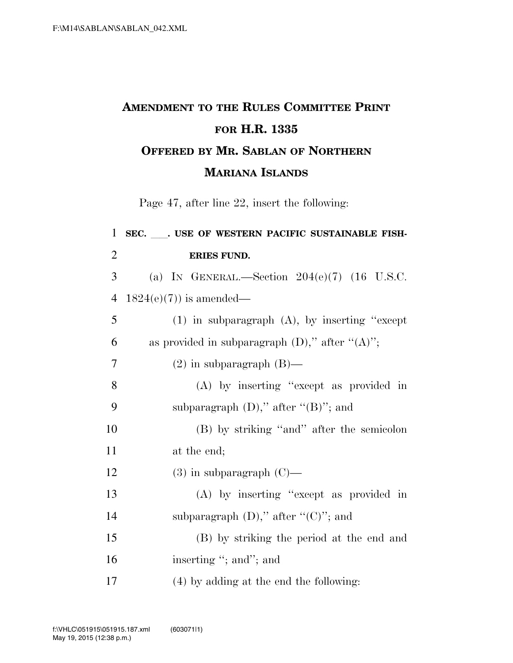## **AMENDMENT TO THE RULES COMMITTEE PRINT FOR H.R. 1335 OFFERED BY MR. SABLAN OF NORTHERN MARIANA ISLANDS**

Page 47, after line 22, insert the following:

| $\mathbf{1}$   | SEC. CSE OF WESTERN PACIFIC SUSTAINABLE FISH-         |
|----------------|-------------------------------------------------------|
| $\overline{2}$ | <b>ERIES FUND.</b>                                    |
| 3              | (a) IN GENERAL.—Section $204(e)(7)$ (16 U.S.C.        |
| $\overline{4}$ | $1824(e)(7)$ is amended—                              |
| 5              | $(1)$ in subparagraph $(A)$ , by inserting "except"   |
| 6              | as provided in subparagraph $(D)$ ," after " $(A)$ "; |
| 7              | $(2)$ in subparagraph $(B)$ —                         |
| 8              | (A) by inserting "except as provided in               |
| 9              | subparagraph $(D)$ ," after " $(B)$ "; and            |
| 10             | (B) by striking "and" after the semicolon             |
| 11             | at the end;                                           |
| 12             | $(3)$ in subparagraph $(C)$ —                         |
| 13             | (A) by inserting "except as provided in               |
| 14             | subparagraph $(D)$ ," after " $(C)$ "; and            |
| 15             | (B) by striking the period at the end and             |
| 16             | inserting "; and"; and                                |
| 17             | (4) by adding at the end the following:               |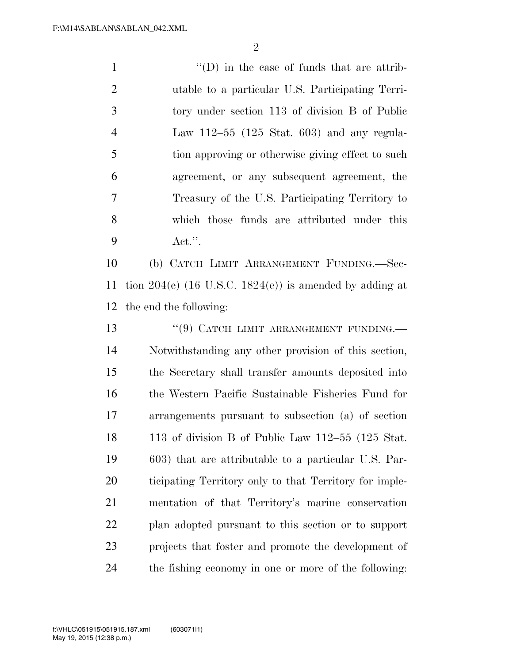$\mathfrak{D}$ 

 $\langle (D) \rangle$  in the case of funds that are attrib- utable to a particular U.S. Participating Terri- tory under section 113 of division B of Public Law 112–55 (125 Stat. 603) and any regula- tion approving or otherwise giving effect to such agreement, or any subsequent agreement, the Treasury of the U.S. Participating Territory to which those funds are attributed under this Act.''.

 (b) CATCH LIMIT ARRANGEMENT FUNDING.—Sec- tion 204(e) (16 U.S.C. 1824(e)) is amended by adding at the end the following:

13 "(9) CATCH LIMIT ARRANGEMENT FUNDING.— Notwithstanding any other provision of this section, the Secretary shall transfer amounts deposited into the Western Pacific Sustainable Fisheries Fund for arrangements pursuant to subsection (a) of section 113 of division B of Public Law 112–55 (125 Stat. 603) that are attributable to a particular U.S. Par- ticipating Territory only to that Territory for imple- mentation of that Territory's marine conservation plan adopted pursuant to this section or to support projects that foster and promote the development of the fishing economy in one or more of the following: